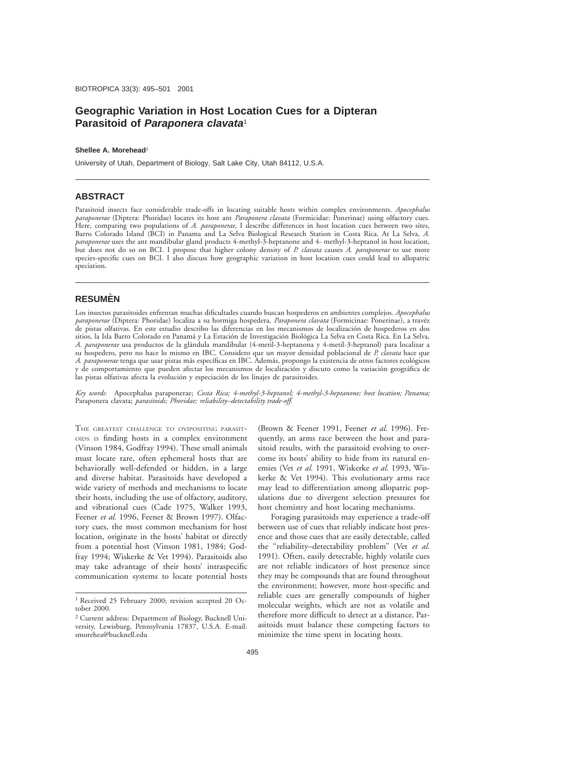BIOTROPICA 33(3): 495–501 2001

# **Geographic Variation in Host Location Cues for a Dipteran Parasitoid of Paraponera clavata**<sup>1</sup>

### **Shellee A. Morehead**<sup>2</sup>

University of Utah, Department of Biology, Salt Lake City, Utah 84112, U.S.A.

# **ABSTRACT**

Parasitoid insects face considerable trade-offs in locating suitable hosts within complex environments. *Apocephalus paraponerae* (Diptera: Phoridae) locates its host ant *Paraponera clavata* (Formicidae: Ponerinae) using olfactory cues. Here, comparing two populations of *A. paraponerae,* I describe differences in host location cues between two sites, Barro Colorado Island (BCI) in Panama and La Selva Biological Research Station in Costa Rica. At La Selva, *A. paraponerae* uses the ant mandibular gland products 4-methyl-3-heptanone and 4- methyl-3-heptanol in host location, but does not do so on BCI. I propose that higher colony density of *P. clavata* causes *A. paraponerae* to use more species-specific cues on BCI. I also discuss how geographic variation in host location cues could lead to allopatric speciation.

# **RESUME` N**

Los insectos parasitoides enfrentan muchas dificultades cuando buscan hospederos en ambientes complejos. *Apocephalus* paraponerae (Diptera: Phoridae) localiza a su hormiga hospedera, Paraponera clavata (Formicinae: Ponerinae), a travéz de pistas olfativas. En este estudio describo las diferencias en los mecanismos de localización de hospederos en dos sitios, la Isla Barro Colorado en Panamá y La Estación de Investigación Biológica La Selva en Costa Rica. En La Selva, *A. paraponerae* usa productos de la gla´ndula mandibular (4-metil-3-heptanona y 4-metil-3-heptanol) para localizar a su hospedero, pero no hace lo mismo en IBC. Considero que un mayor densidad poblacional de *P. clavata* hace que *A. paraponerae* tenga que usar pistas más específicas en IBC. Además, propongo la existencia de otros factores ecológicos y de comportamiento que pueden afectar los mecanismos de localización y discuto como la variación geográfica de las pistas olfativas afecta la evolución y especiación de los linajes de parasitoides.

*Key words:* Apocephalus paraponerae; *Costa Rica; 4-methyl-3-heptanol; 4-methyl-3-heptanone; host location; Panama;* Paraponera clavata; *parasitoids; Phoridae; reliability–detectability trade-off.*

THE GREATEST CHALLENGE TO OVIPOSITING PARASIT-OIDS IS finding hosts in a complex environment (Vinson 1984, Godfray 1994). These small animals must locate rare, often ephemeral hosts that are behaviorally well-defended or hidden, in a large and diverse habitat. Parasitoids have developed a wide variety of methods and mechanisms to locate their hosts, including the use of olfactory, auditory, and vibrational cues (Cade 1975, Walker 1993, Feener *et al.* 1996, Feener & Brown 1997). Olfactory cues, the most common mechanism for host location, originate in the hosts' habitat or directly from a potential host (Vinson 1981, 1984; Godfray 1994; Wiskerke & Vet 1994). Parasitoids also may take advantage of their hosts' intraspecific communication systems to locate potential hosts

(Brown & Feener 1991, Feener *et al.* 1996). Frequently, an arms race between the host and parasitoid results, with the parasitoid evolving to overcome its hosts' ability to hide from its natural enemies (Vet *et al.* 1991, Wiskerke *et al.* 1993, Wiskerke & Vet 1994). This evolutionary arms race may lead to differentiation among allopatric populations due to divergent selection pressures for host chemistry and host locating mechanisms.

Foraging parasitoids may experience a trade-off between use of cues that reliably indicate host presence and those cues that are easily detectable, called the ''reliability–detectability problem'' (Vet *et al.* 1991). Often, easily detectable, highly volatile cues are not reliable indicators of host presence since they may be compounds that are found throughout the environment; however, more host-specific and reliable cues are generally compounds of higher molecular weights, which are not as volatile and therefore more difficult to detect at a distance. Parasitoids must balance these competing factors to minimize the time spent in locating hosts.

<sup>&</sup>lt;sup>1</sup> Received 25 February 2000; revision accepted 20 October 2000.

<sup>2</sup> Current address: Department of Biology, Bucknell University, Lewisburg, Pennsylvania 17837, U.S.A. E-mail: smorehea@bucknell.edu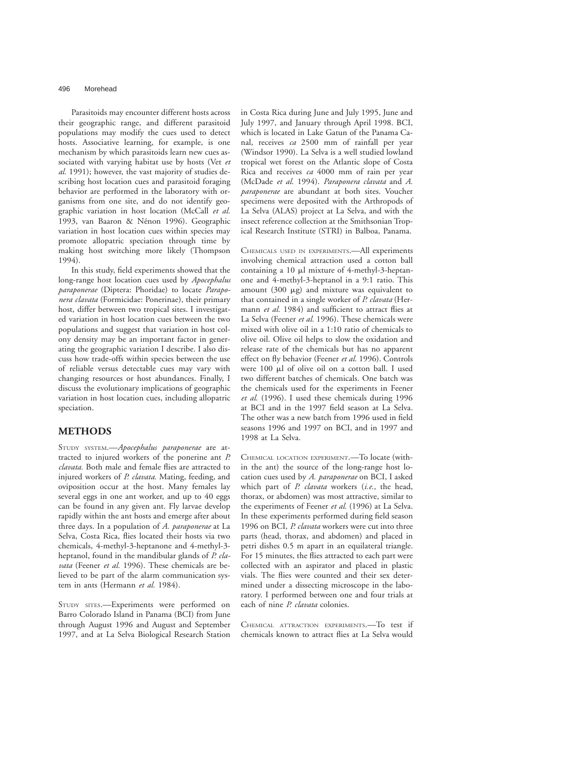## 496 Morehead

Parasitoids may encounter different hosts across their geographic range, and different parasitoid populations may modify the cues used to detect hosts. Associative learning, for example, is one mechanism by which parasitoids learn new cues associated with varying habitat use by hosts (Vet *et al.* 1991); however, the vast majority of studies describing host location cues and parasitoid foraging behavior are performed in the laboratory with organisms from one site, and do not identify geographic variation in host location (McCall *et al.* 1993, van Baaron & Nénon 1996). Geographic variation in host location cues within species may promote allopatric speciation through time by making host switching more likely (Thompson 1994).

In this study, field experiments showed that the long-range host location cues used by *Apocephalus paraponerae* (Diptera: Phoridae) to locate *Paraponera clavata* (Formicidae: Ponerinae), their primary host, differ between two tropical sites. I investigated variation in host location cues between the two populations and suggest that variation in host colony density may be an important factor in generating the geographic variation I describe. I also discuss how trade-offs within species between the use of reliable versus detectable cues may vary with changing resources or host abundances. Finally, I discuss the evolutionary implications of geographic variation in host location cues, including allopatric speciation.

## **METHODS**

STUDY SYSTEM.—*Apocephalus paraponerae* are attracted to injured workers of the ponerine ant *P. clavata.* Both male and female flies are attracted to injured workers of *P. clavata.* Mating, feeding, and oviposition occur at the host. Many females lay several eggs in one ant worker, and up to 40 eggs can be found in any given ant. Fly larvae develop rapidly within the ant hosts and emerge after about three days. In a population of *A. paraponerae* at La Selva, Costa Rica, flies located their hosts via two chemicals, 4-methyl-3-heptanone and 4-methyl-3 heptanol, found in the mandibular glands of *P. clavata* (Feener *et al.* 1996). These chemicals are believed to be part of the alarm communication system in ants (Hermann *et al.* 1984).

STUDY SITES.—Experiments were performed on Barro Colorado Island in Panama (BCI) from June through August 1996 and August and September 1997, and at La Selva Biological Research Station

in Costa Rica during June and July 1995, June and July 1997, and January through April 1998. BCI, which is located in Lake Gatun of the Panama Canal, receives *ca* 2500 mm of rainfall per year (Windsor 1990). La Selva is a well studied lowland tropical wet forest on the Atlantic slope of Costa Rica and receives *ca* 4000 mm of rain per year (McDade *et al.* 1994). *Paraponera clavata* and *A. paraponerae* are abundant at both sites. Voucher specimens were deposited with the Arthropods of La Selva (ALAS) project at La Selva, and with the insect reference collection at the Smithsonian Tropical Research Institute (STRI) in Balboa, Panama.

CHEMICALS USED IN EXPERIMENTS.—All experiments involving chemical attraction used a cotton ball containing a  $10 \mu l$  mixture of 4-methyl-3-heptanone and 4-methyl-3-heptanol in a 9:1 ratio. This amount  $(300 \mu g)$  and mixture was equivalent to that contained in a single worker of *P. clavata* (Hermann *et al.* 1984) and sufficient to attract flies at La Selva (Feener *et al.* 1996). These chemicals were mixed with olive oil in a 1:10 ratio of chemicals to olive oil. Olive oil helps to slow the oxidation and release rate of the chemicals but has no apparent effect on fly behavior (Feener *et al.* 1996). Controls were 100  $\mu$ l of olive oil on a cotton ball. I used two different batches of chemicals. One batch was the chemicals used for the experiments in Feener *et al.* (1996). I used these chemicals during 1996 at BCI and in the 1997 field season at La Selva. The other was a new batch from 1996 used in field seasons 1996 and 1997 on BCI, and in 1997 and 1998 at La Selva.

CHEMICAL LOCATION EXPERIMENT.—To locate (within the ant) the source of the long-range host location cues used by *A. paraponerae* on BCI, I asked which part of *P. clavata* workers (*i.e.,* the head, thorax, or abdomen) was most attractive, similar to the experiments of Feener *et al.* (1996) at La Selva. In these experiments performed during field season 1996 on BCI, *P. clavata* workers were cut into three parts (head, thorax, and abdomen) and placed in petri dishes 0.5 m apart in an equilateral triangle. For 15 minutes, the flies attracted to each part were collected with an aspirator and placed in plastic vials. The flies were counted and their sex determined under a dissecting microscope in the laboratory. I performed between one and four trials at each of nine *P. clavata* colonies.

CHEMICAL ATTRACTION EXPERIMENTS.—To test if chemicals known to attract flies at La Selva would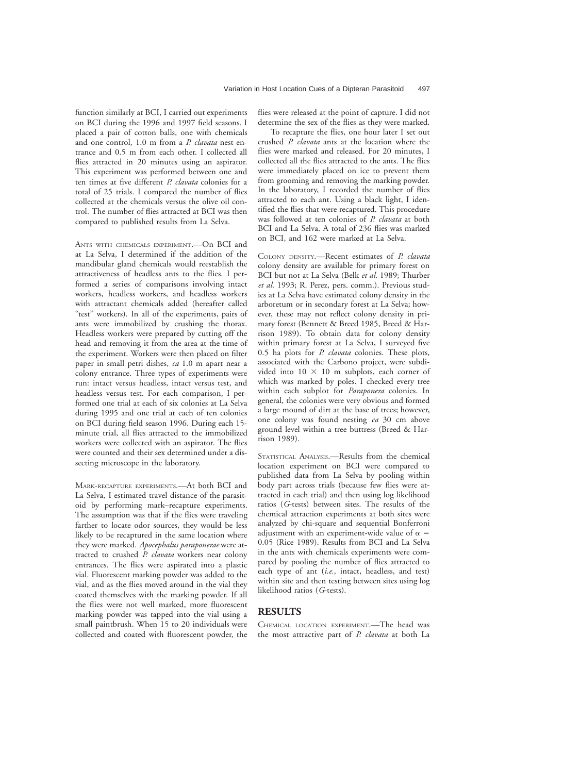function similarly at BCI, I carried out experiments on BCI during the 1996 and 1997 field seasons. I placed a pair of cotton balls, one with chemicals and one control, 1.0 m from a *P. clavata* nest entrance and 0.5 m from each other. I collected all flies attracted in 20 minutes using an aspirator. This experiment was performed between one and ten times at five different *P. clavata* colonies for a total of 25 trials. I compared the number of flies collected at the chemicals versus the olive oil control. The number of flies attracted at BCI was then compared to published results from La Selva.

ANTS WITH CHEMICALS EXPERIMENT.—On BCI and at La Selva, I determined if the addition of the mandibular gland chemicals would reestablish the attractiveness of headless ants to the flies. I performed a series of comparisons involving intact workers, headless workers, and headless workers with attractant chemicals added (hereafter called "test" workers). In all of the experiments, pairs of ants were immobilized by crushing the thorax. Headless workers were prepared by cutting off the head and removing it from the area at the time of the experiment. Workers were then placed on filter paper in small petri dishes, *ca* 1.0 m apart near a colony entrance. Three types of experiments were run: intact versus headless, intact versus test, and headless versus test. For each comparison, I performed one trial at each of six colonies at La Selva during 1995 and one trial at each of ten colonies on BCI during field season 1996. During each 15 minute trial, all flies attracted to the immobilized workers were collected with an aspirator. The flies were counted and their sex determined under a dissecting microscope in the laboratory.

MARK-RECAPTURE EXPERIMENTS.—At both BCI and La Selva, I estimated travel distance of the parasitoid by performing mark–recapture experiments. The assumption was that if the flies were traveling farther to locate odor sources, they would be less likely to be recaptured in the same location where they were marked. *Apocephalus paraponerae* were attracted to crushed *P. clavata* workers near colony entrances. The flies were aspirated into a plastic vial. Fluorescent marking powder was added to the vial, and as the flies moved around in the vial they coated themselves with the marking powder. If all the flies were not well marked, more fluorescent marking powder was tapped into the vial using a small paintbrush. When 15 to 20 individuals were collected and coated with fluorescent powder, the

flies were released at the point of capture. I did not determine the sex of the flies as they were marked.

To recapture the flies, one hour later I set out crushed *P. clavata* ants at the location where the flies were marked and released. For 20 minutes, I collected all the flies attracted to the ants. The flies were immediately placed on ice to prevent them from grooming and removing the marking powder. In the laboratory, I recorded the number of flies attracted to each ant. Using a black light, I identified the flies that were recaptured. This procedure was followed at ten colonies of *P. clavata* at both BCI and La Selva. A total of 236 flies was marked on BCI, and 162 were marked at La Selva.

COLONY DENSITY.—Recent estimates of *P. clavata* colony density are available for primary forest on BCI but not at La Selva (Belk *et al.* 1989; Thurber *et al.* 1993; R. Perez, pers. comm.). Previous studies at La Selva have estimated colony density in the arboretum or in secondary forest at La Selva; however, these may not reflect colony density in primary forest (Bennett & Breed 1985, Breed & Harrison 1989). To obtain data for colony density within primary forest at La Selva, I surveyed five 0.5 ha plots for *P. clavata* colonies. These plots, associated with the Carbono project, were subdivided into  $10 \times 10$  m subplots, each corner of which was marked by poles. I checked every tree within each subplot for *Paraponera* colonies. In general, the colonies were very obvious and formed a large mound of dirt at the base of trees; however, one colony was found nesting *ca* 30 cm above ground level within a tree buttress (Breed & Harrison 1989).

STATISTICAL ANALYSIS.—Results from the chemical location experiment on BCI were compared to published data from La Selva by pooling within body part across trials (because few flies were attracted in each trial) and then using log likelihood ratios (*G*-tests) between sites. The results of the chemical attraction experiments at both sites were analyzed by chi-square and sequential Bonferroni adjustment with an experiment-wide value of  $\alpha$  = 0.05 (Rice 1989). Results from BCI and La Selva in the ants with chemicals experiments were compared by pooling the number of flies attracted to each type of ant (*i.e.,* intact, headless, and test) within site and then testing between sites using log likelihood ratios (*G*-tests).

# **RESULTS**

CHEMICAL LOCATION EXPERIMENT.—The head was the most attractive part of *P. clavata* at both La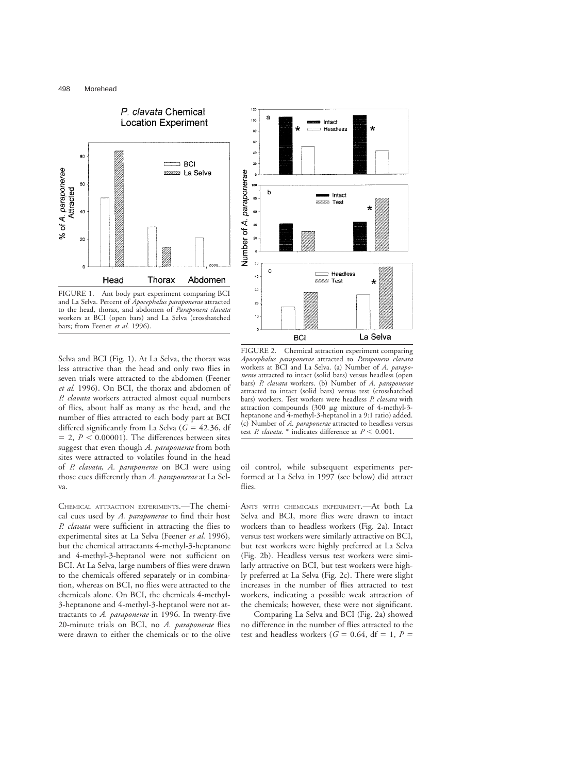



Selva and BCI (Fig. 1). At La Selva, the thorax was less attractive than the head and only two flies in seven trials were attracted to the abdomen (Feener *et al.* 1996). On BCI, the thorax and abdomen of *P. clavata* workers attracted almost equal numbers of flies, about half as many as the head, and the number of flies attracted to each body part at BCI differed significantly from La Selva ( $G = 42.36$ , df  $= 2, P < 0.00001$ ). The differences between sites suggest that even though *A. paraponerae* from both sites were attracted to volatiles found in the head of *P. clavata, A. paraponerae* on BCI were using those cues differently than *A. paraponerae* at La Selva.

CHEMICAL ATTRACTION EXPERIMENTS.—The chemical cues used by *A. paraponerae* to find their host *P. clavata* were sufficient in attracting the flies to experimental sites at La Selva (Feener *et al.* 1996), but the chemical attractants 4-methyl-3-heptanone and 4-methyl-3-heptanol were not sufficient on BCI. At La Selva, large numbers of flies were drawn to the chemicals offered separately or in combination, whereas on BCI, no flies were attracted to the chemicals alone. On BCI, the chemicals 4-methyl-3-heptanone and 4-methyl-3-heptanol were not attractants to *A. paraponerae* in 1996. In twenty-five 20-minute trials on BCI, no *A. paraponerae* flies were drawn to either the chemicals or to the olive



FIGURE 2. Chemical attraction experiment comparing *Apocephalus paraponerae* attracted to *Paraponera clavata* workers at BCI and La Selva. (a) Number of *A. paraponerae* attracted to intact (solid bars) versus headless (open bars) *P. clavata* workers. (b) Number of *A. paraponerae* attracted to intact (solid bars) versus test (crosshatched bars) workers. Test workers were headless *P. clavata* with attraction compounds (300 µg mixture of 4-methyl-3heptanone and 4-methyl-3-heptanol in a 9:1 ratio) added. (c) Number of *A. paraponerae* attracted to headless versus test *P. clavata.* \* indicates difference at  $P < 0.001$ .

oil control, while subsequent experiments performed at La Selva in 1997 (see below) did attract flies

ANTS WITH CHEMICALS EXPERIMENT.—At both La Selva and BCI, more flies were drawn to intact workers than to headless workers (Fig. 2a). Intact versus test workers were similarly attractive on BCI, but test workers were highly preferred at La Selva (Fig. 2b). Headless versus test workers were similarly attractive on BCI, but test workers were highly preferred at La Selva (Fig. 2c). There were slight increases in the number of flies attracted to test workers, indicating a possible weak attraction of the chemicals; however, these were not significant.

Comparing La Selva and BCI (Fig. 2a) showed no difference in the number of flies attracted to the test and headless workers ( $G = 0.64$ , df = 1,  $P =$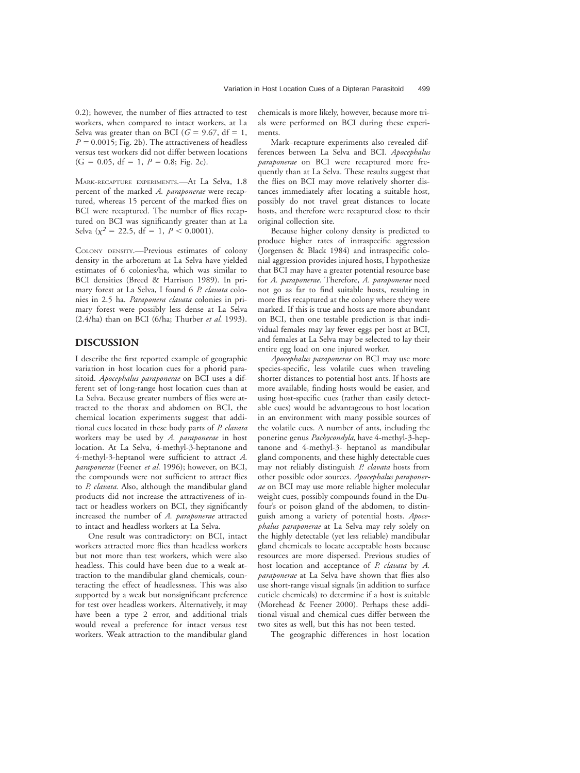0.2); however, the number of flies attracted to test workers, when compared to intact workers, at La Selva was greater than on BCI ( $G = 9.67$ , df = 1,  $P = 0.0015$ ; Fig. 2b). The attractiveness of headless versus test workers did not differ between locations  $(G = 0.05, df = 1, P = 0.8; Fig. 2c).$ 

MARK-RECAPTURE EXPERIMENTS.—At La Selva, 1.8 percent of the marked *A. paraponerae* were recaptured, whereas 15 percent of the marked flies on BCI were recaptured. The number of flies recaptured on BCI was significantly greater than at La Selva ( $\chi^2$  = 22.5, df = 1, *P* < 0.0001).

COLONY DENSITY.—Previous estimates of colony density in the arboretum at La Selva have yielded estimates of 6 colonies/ha, which was similar to BCI densities (Breed & Harrison 1989). In primary forest at La Selva, I found 6 *P. clavata* colonies in 2.5 ha. *Paraponera clavata* colonies in primary forest were possibly less dense at La Selva (2.4/ha) than on BCI (6/ha; Thurber *et al.* 1993).

# **DISCUSSION**

I describe the first reported example of geographic variation in host location cues for a phorid parasitoid. *Apocephalus paraponerae* on BCI uses a different set of long-range host location cues than at La Selva. Because greater numbers of flies were attracted to the thorax and abdomen on BCI, the chemical location experiments suggest that additional cues located in these body parts of *P. clavata* workers may be used by *A. paraponerae* in host location. At La Selva, 4-methyl-3-heptanone and 4-methyl-3-heptanol were sufficient to attract *A. paraponerae* (Feener *et al.* 1996); however, on BCI, the compounds were not sufficient to attract flies to *P. clavata.* Also, although the mandibular gland products did not increase the attractiveness of intact or headless workers on BCI, they significantly increased the number of *A. paraponerae* attracted to intact and headless workers at La Selva.

One result was contradictory: on BCI, intact workers attracted more flies than headless workers but not more than test workers, which were also headless. This could have been due to a weak attraction to the mandibular gland chemicals, counteracting the effect of headlessness. This was also supported by a weak but nonsignificant preference for test over headless workers. Alternatively, it may have been a type 2 error, and additional trials would reveal a preference for intact versus test workers. Weak attraction to the mandibular gland

chemicals is more likely, however, because more trials were performed on BCI during these experiments.

Mark–recapture experiments also revealed differences between La Selva and BCI. *Apocephalus paraponerae* on BCI were recaptured more frequently than at La Selva. These results suggest that the flies on BCI may move relatively shorter distances immediately after locating a suitable host, possibly do not travel great distances to locate hosts, and therefore were recaptured close to their original collection site.

Because higher colony density is predicted to produce higher rates of intraspecific aggression (Jorgensen & Black 1984) and intraspecific colonial aggression provides injured hosts, I hypothesize that BCI may have a greater potential resource base for *A. paraponerae.* Therefore, *A. paraponerae* need not go as far to find suitable hosts, resulting in more flies recaptured at the colony where they were marked. If this is true and hosts are more abundant on BCI, then one testable prediction is that individual females may lay fewer eggs per host at BCI, and females at La Selva may be selected to lay their entire egg load on one injured worker.

*Apocephalus paraponerae* on BCI may use more species-specific, less volatile cues when traveling shorter distances to potential host ants. If hosts are more available, finding hosts would be easier, and using host-specific cues (rather than easily detectable cues) would be advantageous to host location in an environment with many possible sources of the volatile cues. A number of ants, including the ponerine genus *Pachycondyla,* have 4-methyl-3-heptanone and 4-methyl-3- heptanol as mandibular gland components, and these highly detectable cues may not reliably distinguish *P. clavata* hosts from other possible odor sources. *Apocephalus paraponerae* on BCI may use more reliable higher molecular weight cues, possibly compounds found in the Dufour's or poison gland of the abdomen, to distinguish among a variety of potential hosts. *Apocephalus paraponerae* at La Selva may rely solely on the highly detectable (yet less reliable) mandibular gland chemicals to locate acceptable hosts because resources are more dispersed. Previous studies of host location and acceptance of *P. clavata* by *A. paraponerae* at La Selva have shown that flies also use short-range visual signals (in addition to surface cuticle chemicals) to determine if a host is suitable (Morehead & Feener 2000). Perhaps these additional visual and chemical cues differ between the two sites as well, but this has not been tested.

The geographic differences in host location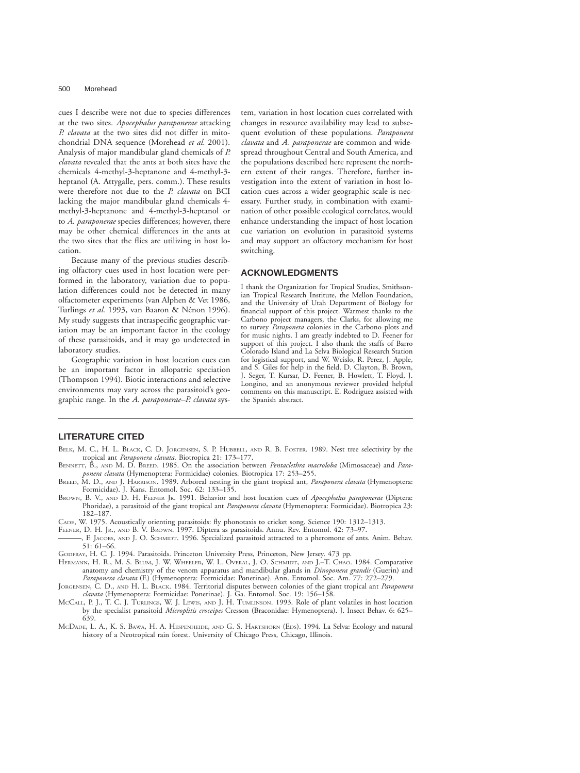### 500 Morehead

cues I describe were not due to species differences at the two sites. *Apocephalus paraponerae* attacking *P. clavata* at the two sites did not differ in mitochondrial DNA sequence (Morehead *et al.* 2001). Analysis of major mandibular gland chemicals of *P. clavata* revealed that the ants at both sites have the chemicals 4-methyl-3-heptanone and 4-methyl-3 heptanol (A. Attygalle, pers. comm.). These results were therefore not due to the *P. clavata* on BCI lacking the major mandibular gland chemicals 4 methyl-3-heptanone and 4-methyl-3-heptanol or to *A. paraponerae* species differences; however, there may be other chemical differences in the ants at the two sites that the flies are utilizing in host location.

Because many of the previous studies describing olfactory cues used in host location were performed in the laboratory, variation due to population differences could not be detected in many olfactometer experiments (van Alphen & Vet 1986, Turlings et al. 1993, van Baaron & Nénon 1996). My study suggests that intraspecific geographic variation may be an important factor in the ecology of these parasitoids, and it may go undetected in laboratory studies.

Geographic variation in host location cues can be an important factor in allopatric speciation (Thompson 1994). Biotic interactions and selective environments may vary across the parasitoid's geographic range. In the *A. paraponerae–P. clavata* sys-

tem, variation in host location cues correlated with changes in resource availability may lead to subsequent evolution of these populations. *Paraponera clavata* and *A. paraponerae* are common and widespread throughout Central and South America, and the populations described here represent the northern extent of their ranges. Therefore, further investigation into the extent of variation in host location cues across a wider geographic scale is necessary. Further study, in combination with examination of other possible ecological correlates, would enhance understanding the impact of host location cue variation on evolution in parasitoid systems and may support an olfactory mechanism for host switching.

#### **ACKNOWLEDGMENTS**

I thank the Organization for Tropical Studies, Smithsonian Tropical Research Institute, the Mellon Foundation, and the University of Utah Department of Biology for financial support of this project. Warmest thanks to the Carbono project managers, the Clarks, for allowing me to survey *Paraponera* colonies in the Carbono plots and for music nights. I am greatly indebted to D. Feener for support of this project. I also thank the staffs of Barro Colorado Island and La Selva Biological Research Station for logistical support, and W. Wcislo, R. Perez, J. Apple, and S. Giles for help in the field. D. Clayton, B. Brown, J. Seger, T. Kursar, D. Feener, B. Howlett, T. Floyd, J. Longino, and an anonymous reviewer provided helpful comments on this manuscript. E. Rodriguez assisted with the Spanish abstract.

#### **LITERATURE CITED**

- BELK, M. C., H. L. BLACK, C. D. JORGENSEN, S. P. HUBBELL, AND R. B. FOSTER. 1989. Nest tree selectivity by the tropical ant *Paraponera clavata.* Biotropica 21: 173–177.
- BENNETT, B., AND M. D. BREED. 1985. On the association between *Pentaclethra macroloba* (Mimosaceae) and *Paraponera clavata* (Hymenoptera: Formicidae) colonies. Biotropica 17: 253–255.
- BREED, M. D., AND J. HARRISON. 1989. Arboreal nesting in the giant tropical ant, *Paraponera clavata* (Hymenoptera: Formicidae). J. Kans. Entomol. Soc. 62: 133–135.
- BROWN, B. V., AND D. H. FEENER JR. 1991. Behavior and host location cues of *Apocephalus paraponerae* (Diptera: Phoridae), a parasitoid of the giant tropical ant *Paraponera clavata* (Hymenoptera: Formicidae). Biotropica 23: 182–187.
- CADE, W. 1975. Acoustically orienting parasitoids: fly phonotaxis to cricket song. Science 190: 1312–1313.
- FEENER, D. H. JR., AND B. V. BROWN. 1997. Diptera as parasitoids. Annu. Rev. Entomol. 42: 73–97.
- , F. JACOBS, AND J. O. SCHMIDT. 1996. Specialized parasitoid attracted to a pheromone of ants. Anim. Behav. 51: 61–66.

GODFRAY, H. C. J. 1994. Parasitoids. Princeton University Press, Princeton, New Jersey. 473 pp.

HERMANN, H. R., M. S. BLUM, J. W. WHEELER, W. L. OVERAL, J. O. SCHMIDT, AND J.–T. CHAO. 1984. Comparative anatomy and chemistry of the venom apparatus and mandibular glands in *Dinoponera grandis* (Guerin) and *Paraponera clavata* (F.) (Hymenoptera: Formicidae: Ponerinae). Ann. Entomol. Soc. Am. 77: 272–279.

JORGENSEN, C. D., AND H. L. BLACK. 1984. Territorial disputes between colonies of the giant tropical ant *Paraponera clavata* (Hymenoptera: Formicidae: Ponerinae). J. Ga. Entomol. Soc. 19: 156–158.

- MCCALL, P. J., T. C. J. TURLINGS, W. J. LEWIS, AND J. H. TUMLINSON. 1993. Role of plant volatiles in host location by the specialist parasitoid *Microplitis croceipes* Cresson (Braconidae: Hymenoptera). J. Insect Behav. 6: 625– 639.
- MCDADE, L. A., K. S. BAWA, H. A. HESPENHEIDE, AND G. S. HARTSHORN (EDS). 1994. La Selva: Ecology and natural history of a Neotropical rain forest. University of Chicago Press, Chicago, Illinois.